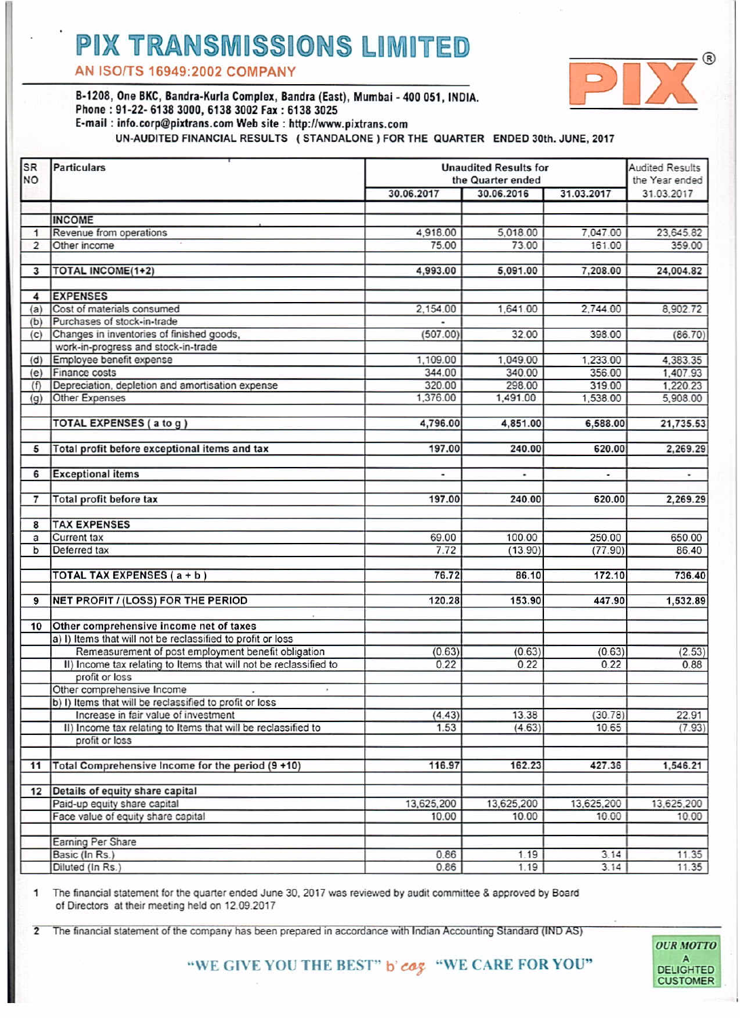## **PIX TRANSMISSIONS LIMITED**

AN ISO/TS 16949:2002 COMPANY



**OUR MOTTO** 

DELIGHTED **CUSTOMER** 

B-1208, One BKC, Bandra-Kurla Complex, Bandra (Fast), Mumbai - 400 051, INDIA **D-1200, ONE DRV, Danura-Rurra Complex, Danura (Las**<br>Phone : 91-22- 6138 3000, 6138 3002 Fax : 6138 3025 E-mail: info.corp@pixtrans.com Web site: http://www.pixtrans.com

UN-AUDITED FINANCIAL RESULTS ( STANDALONE ) FOR THE QUARTER ENDED 30th, JUNE, 2017

| <b>SR</b><br><b>NO</b>  | <b>Particulars</b>                                                 | <b>Unaudited Results for</b><br>the Quarter ended |            |            | <b>Audited Results</b><br>the Year ended |
|-------------------------|--------------------------------------------------------------------|---------------------------------------------------|------------|------------|------------------------------------------|
|                         |                                                                    | 30.06.2017                                        | 30.06.2016 | 31.03.2017 | 31.03.2017                               |
|                         |                                                                    |                                                   |            |            |                                          |
|                         | <b>INCOME</b>                                                      |                                                   |            |            |                                          |
| 1                       | Revenue from operations                                            | 4.918.00                                          | 5,018.00   | 7,047.00   | 23,645.82                                |
| $\overline{2}$          | Other income                                                       | 75.00                                             | 73.00      | 161.00     | 359.00                                   |
| 3                       | <b>TOTAL INCOME(1+2)</b>                                           | 4,993.00                                          | 5,091.00   | 7,208.00   | 24,004.82                                |
|                         |                                                                    |                                                   |            |            |                                          |
| $\overline{\bf{4}}$     | <b>EXPENSES</b>                                                    |                                                   |            |            |                                          |
| (a)                     | Cost of materials consumed                                         | 2.154.00                                          | 1.641.00   | 2.744.00   | 8.902.72                                 |
| (b)                     | Purchases of stock-in-trade                                        |                                                   |            |            |                                          |
| (c)                     | Changes in inventories of finished goods,                          | (507.00)                                          | 32.00      | 398.00     | (86.70)                                  |
|                         | work-in-progress and stock-in-trade                                |                                                   |            |            |                                          |
| (d)                     | Employee benefit expense                                           | 1,109.00                                          | 1.049.00   | 1.233.00   | 4,383.35                                 |
| (e)                     | Finance costs                                                      | 344.00                                            | 340.00     | 356.00     | 1,407.93                                 |
| (f)                     | Depreciation, depletion and amortisation expense                   | 320.00                                            | 298.00     | 319.00     | 1,220.23                                 |
| (q)                     | Other Expenses                                                     | 1,376.00                                          | 1,491.00   | 1,538.00   | 5,908.00                                 |
|                         | <b>TOTAL EXPENSES (a to g)</b>                                     | 4,796.00                                          | 4,851.00   | 6,588.00   | 21,735.53                                |
|                         |                                                                    |                                                   |            |            |                                          |
| 5                       | Total profit before exceptional items and tax                      | 197.00                                            | 240.00     | 620.00     | 2,269.29                                 |
| 6                       | <b>Exceptional items</b>                                           | ×,                                                | ٠          | ٠          | $\overline{\phantom{a}}$                 |
|                         |                                                                    |                                                   |            |            |                                          |
| $\overline{7}$          | <b>Total profit before tax</b>                                     | 197.00                                            | 240.00     | 620.00     | 2.269.29                                 |
| $\overline{\mathbf{8}}$ | <b>TAX EXPENSES</b>                                                |                                                   |            |            |                                          |
| a                       | Current tax                                                        | 69.00                                             | 100.00     | 250.00     | 650.00                                   |
| b                       | Deferred tax                                                       | 7.72                                              | (13.90)    | (77.90)    | 86.40                                    |
|                         | TOTAL TAX EXPENSES (a + b)                                         | 76.72                                             | 86.10      | 172.10     | 736.40                                   |
|                         |                                                                    |                                                   |            |            |                                          |
| 9                       | <b>NET PROFIT / (LOSS) FOR THE PERIOD</b>                          | 120.28                                            | 153.90     | 447.90     | 1,532.89                                 |
| 10                      | Other comprehensive income net of taxes                            |                                                   |            |            |                                          |
|                         | a) I) Items that will not be reclassified to profit or loss        |                                                   |            |            |                                          |
|                         | Remeasurement of post employment benefit obligation                | (0.63)                                            | (0.63)     | (0.63)     | (2.53)                                   |
|                         | II) Income tax relating to Items that will not be reclassified to  | 0.22                                              | 0.22       | 0.22       | 0.88                                     |
|                         | profit or loss                                                     |                                                   |            |            |                                          |
|                         | Other comprehensive Income                                         |                                                   |            |            |                                          |
|                         | b) I) Items that will be reclassified to profit or loss            |                                                   |            |            |                                          |
|                         | Increase in fair value of investment                               | (4.43)                                            | 13.38      | (30.78)    | 22.91                                    |
|                         | II) Income tax relating to Items that will be reclassified to      | 1.53                                              | (4.63)     | 10.65      | (7.93)                                   |
|                         | profit or loss                                                     |                                                   |            |            |                                          |
| 11                      | Total Comprehensive Income for the period (9 +10)                  | 116.97                                            | 162.23     | 427.36     | 1,546.21                                 |
|                         |                                                                    |                                                   |            |            |                                          |
|                         | 12 Details of equity share capital<br>Paid-up equity share capital | 13,625,200                                        | 13,625,200 | 13,625,200 | 13,625,200                               |
|                         | Face value of equity share capital                                 | 10.00                                             | 10.00      | 10.00      | 10.00                                    |
|                         |                                                                    |                                                   |            |            |                                          |
|                         | Earning Per Share                                                  |                                                   |            |            |                                          |
|                         | Basic (In Rs.)                                                     | 0.86                                              | 1.19       | 3.14       | 11.35                                    |
|                         | Diluted (In Rs.)                                                   | 0.86                                              | 1.19       | 3.14       | 11.35                                    |

 $\mathbf{1}$ The financial statement for the quarter ended June 30, 2017 was reviewed by audit committee & approved by Board of Directors at their meeting held on 12.09.2017

 $\overline{2}$ The financial statement of the company has been prepared in accordance with Indian Accounting Standard (IND AS)